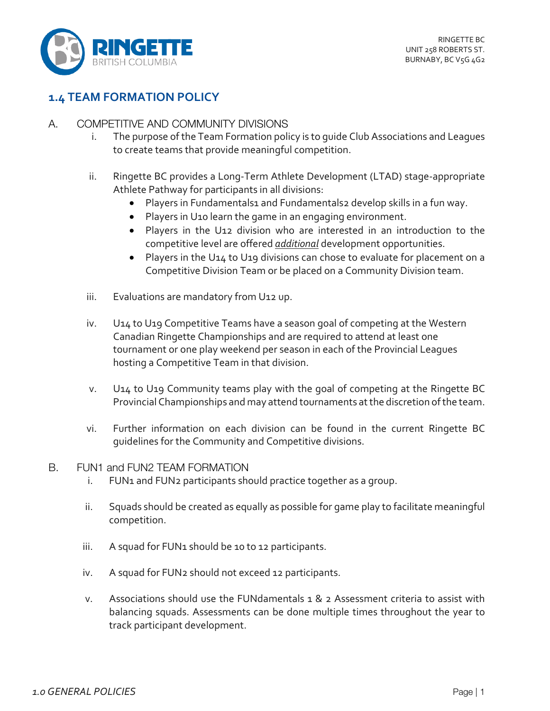

## **1.4 TEAM FORMATION POLICY**

## A. COMPETITIVE AND COMMUNITY DIVISIONS

- i. The purpose of the Team Formation policy is to guide Club Associations and Leagues to create teams that provide meaningful competition.
- ii. Ringette BC provides a Long-Term Athlete Development (LTAD) stage-appropriate Athlete Pathway for participants in all divisions:
	- Players in Fundamentals1 and Fundamentals2 develop skills in a fun way.
	- Players in U10 learn the game in an engaging environment.
	- Players in the U12 division who are interested in an introduction to the competitive level are offered *additional* development opportunities.
	- Players in the U14 to U19 divisions can chose to evaluate for placement on a Competitive Division Team or be placed on a Community Division team.
- iii. Evaluations are mandatory from U12 up.
- iv. U14 to U19 Competitive Teams have a season goal of competing at the Western Canadian Ringette Championships and are required to attend at least one tournament or one play weekend per season in each of the Provincial Leagues hosting a Competitive Team in that division.
- v. U14 to U19 Community teams play with the goal of competing at the Ringette BC Provincial Championships and may attend tournaments at the discretion of the team.
- vi. Further information on each division can be found in the current Ringette BC guidelines for the Community and Competitive divisions.
- B. FUN1 and FUN2 TEAM FORMATION
	- i. FUN1 and FUN2 participants should practice together as a group.
	- ii. Squads should be created as equally as possible for game play to facilitate meaningful competition.
	- iii. A squad for FUN1 should be 10 to 12 participants.
	- iv. A squad for FUN2 should not exceed 12 participants.
	- v. Associations should use the FUNdamentals 1 & 2 Assessment criteria to assist with balancing squads. Assessments can be done multiple times throughout the year to track participant development.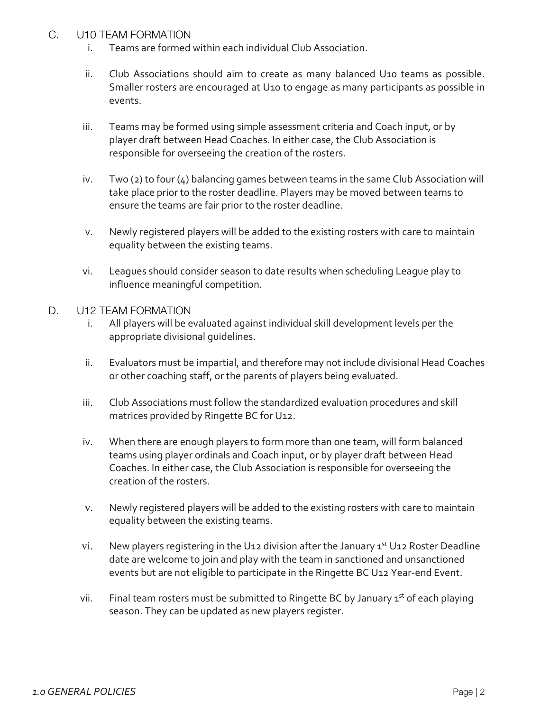- C. U10 TEAM FORMATION
	- i. Teams are formed within each individual Club Association.
	- ii. Club Associations should aim to create as many balanced U10 teams as possible. Smaller rosters are encouraged at U10 to engage as many participants as possible in events.
	- iii. Teams may be formed using simple assessment criteria and Coach input, or by player draft between Head Coaches. In either case, the Club Association is responsible for overseeing the creation of the rosters.
	- iv. Two (2) to four (4) balancing games between teams in the same Club Association will take place prior to the roster deadline. Players may be moved between teams to ensure the teams are fair prior to the roster deadline.
	- v. Newly registered players will be added to the existing rosters with care to maintain equality between the existing teams.
	- vi. Leagues should consider season to date results when scheduling League play to influence meaningful competition.

## D. U12 TEAM FORMATION

- i. All players will be evaluated against individual skill development levels per the appropriate divisional guidelines.
- ii. Evaluators must be impartial, and therefore may not include divisional Head Coaches or other coaching staff, or the parents of players being evaluated.
- iii. Club Associations must follow the standardized evaluation procedures and skill matrices provided by Ringette BC for U12.
- iv. When there are enough players to form more than one team, will form balanced teams using player ordinals and Coach input, or by player draft between Head Coaches. In either case, the Club Association is responsible for overseeing the creation of the rosters.
- v. Newly registered players will be added to the existing rosters with care to maintain equality between the existing teams.
- vi. New players registering in the U12 division after the January  $1<sup>st</sup> U12$  Roster Deadline date are welcome to join and play with the team in sanctioned and unsanctioned events but are not eligible to participate in the Ringette BC U12 Year-end Event.
- vii. Final team rosters must be submitted to Ringette BC by January  $1^{st}$  of each playing season. They can be updated as new players register.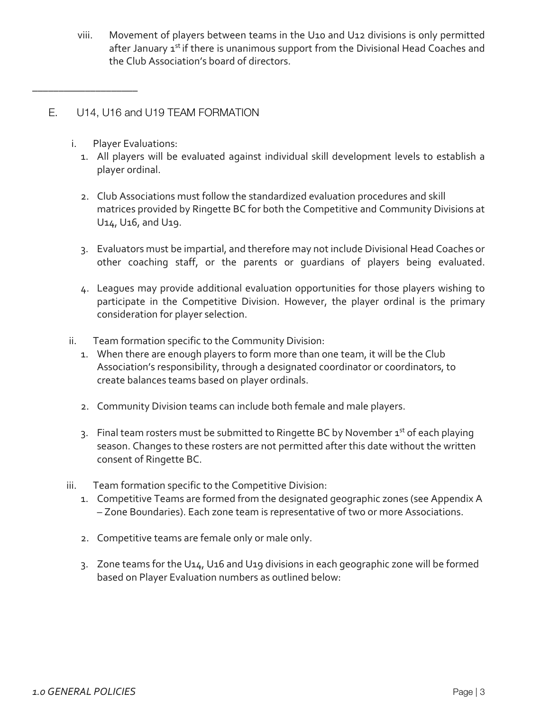viii. Movement of players between teams in the U10 and U12 divisions is only permitted after January 1st if there is unanimous support from the Divisional Head Coaches and the Club Association's board of directors.

## E. U14, U16 and U19 TEAM FORMATION

i. Player Evaluations:

\_\_\_\_\_\_\_\_\_\_\_\_\_\_\_\_\_\_\_\_

- 1. All players will be evaluated against individual skill development levels to establish a player ordinal.
- 2. Club Associations must follow the standardized evaluation procedures and skill matrices provided by Ringette BC for both the Competitive and Community Divisions at U14, U16, and U19.
- 3. Evaluators must be impartial, and therefore may not include Divisional Head Coaches or other coaching staff, or the parents or guardians of players being evaluated.
- 4. Leagues may provide additional evaluation opportunities for those players wishing to participate in the Competitive Division. However, the player ordinal is the primary consideration for player selection.
- ii. Team formation specific to the Community Division:
	- 1. When there are enough players to form more than one team, it will be the Club Association's responsibility, through a designated coordinator or coordinators, to create balances teams based on player ordinals.
	- 2. Community Division teams can include both female and male players.
	- 3. Final team rosters must be submitted to Ringette BC by November 1<sup>st</sup> of each playing season. Changes to these rosters are not permitted after this date without the written consent of Ringette BC.
- iii. Team formation specific to the Competitive Division:
	- 1. Competitive Teams are formed from the designated geographic zones (see Appendix A – Zone Boundaries). Each zone team is representative of two or more Associations.
	- 2. Competitive teams are female only or male only.
	- 3. Zone teams for the U14, U16 and U19 divisions in each geographic zone will be formed based on Player Evaluation numbers as outlined below: